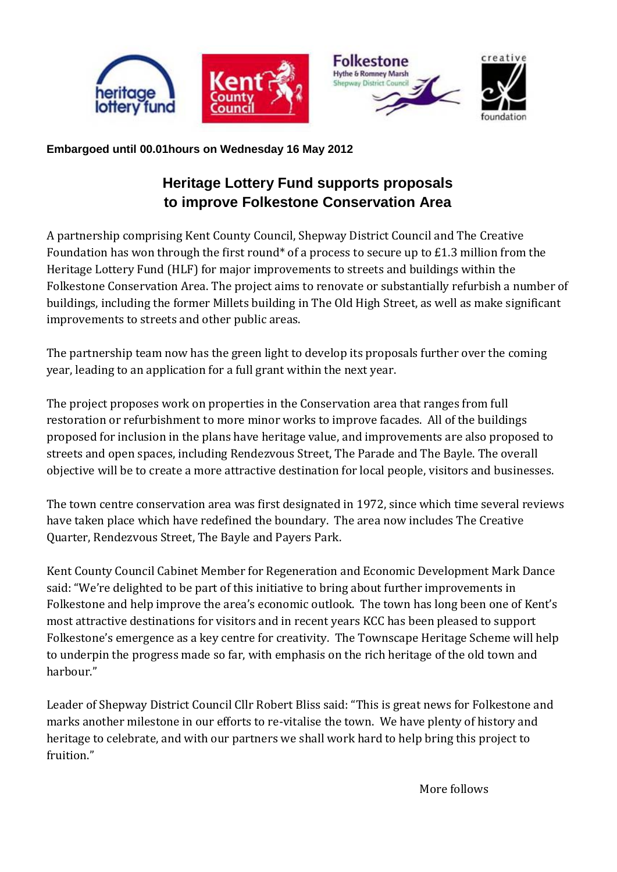

## **Embargoed until 00.01hours on Wednesday 16 May 2012**

# **Heritage Lottery Fund supports proposals to improve Folkestone Conservation Area**

A partnership comprising Kent County Council, Shepway District Council and The Creative Foundation has won through the first round\* of a process to secure up to £1.3 million from the Heritage Lottery Fund (HLF) for major improvements to streets and buildings within the Folkestone Conservation Area. The project aims to renovate or substantially refurbish a number of buildings, including the former Millets building in The Old High Street, as well as make significant improvements to streets and other public areas.

The partnership team now has the green light to develop its proposals further over the coming year, leading to an application for a full grant within the next year.

The project proposes work on properties in the Conservation area that ranges from full restoration or refurbishment to more minor works to improve facades. All of the buildings proposed for inclusion in the plans have heritage value, and improvements are also proposed to streets and open spaces, including Rendezvous Street, The Parade and The Bayle. The overall objective will be to create a more attractive destination for local people, visitors and businesses.

The town centre conservation area was first designated in 1972, since which time several reviews have taken place which have redefined the boundary. The area now includes The Creative Quarter, Rendezvous Street, The Bayle and Payers Park.

Kent County Council Cabinet Member for Regeneration and Economic Development Mark Dance said: "We're delighted to be part of this initiative to bring about further improvements in Folkestone and help improve the area's economic outlook. The town has long been one of Kent's most attractive destinations for visitors and in recent years KCC has been pleased to support Folkestone's emergence as a key centre for creativity. The Townscape Heritage Scheme will help to underpin the progress made so far, with emphasis on the rich heritage of the old town and harbour."

Leader of Shepway District Council Cllr Robert Bliss said: "This is great news for Folkestone and marks another milestone in our efforts to re-vitalise the town. We have plenty of history and heritage to celebrate, and with our partners we shall work hard to help bring this project to fruition."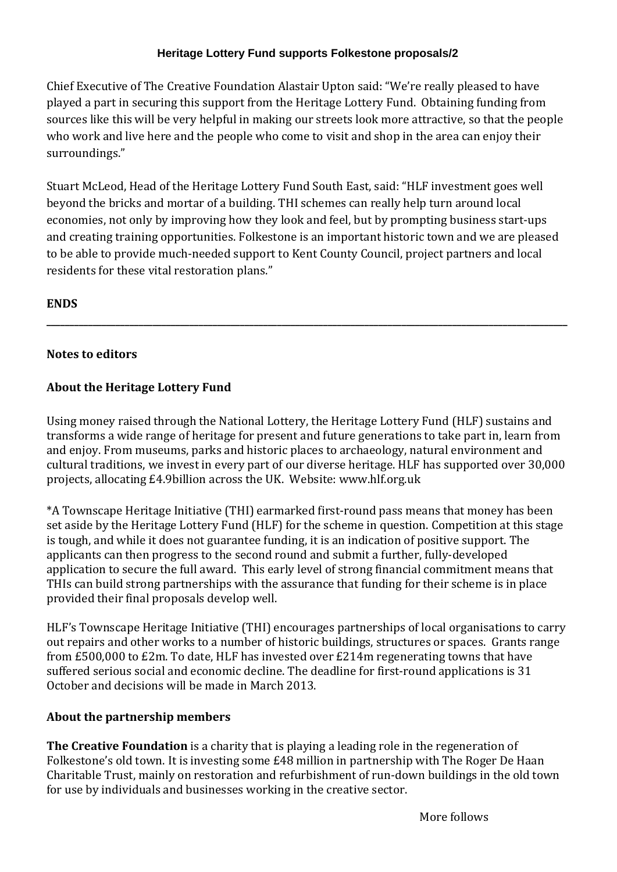## **Heritage Lottery Fund supports Folkestone proposals/2**

Chief Executive of The Creative Foundation Alastair Upton said: "We're really pleased to have played a part in securing this support from the Heritage Lottery Fund. Obtaining funding from sources like this will be very helpful in making our streets look more attractive, so that the people who work and live here and the people who come to visit and shop in the area can enjoy their surroundings."

Stuart McLeod, Head of the Heritage Lottery Fund South East, said: "HLF investment goes well beyond the bricks and mortar of a building. THI schemes can really help turn around local economies, not only by improving how they look and feel, but by prompting business start-ups and creating training opportunities. Folkestone is an important historic town and we are pleased to be able to provide much-needed support to Kent County Council, project partners and local residents for these vital restoration plans."

**\_\_\_\_\_\_\_\_\_\_\_\_\_\_\_\_\_\_\_\_\_\_\_\_\_\_\_\_\_\_\_\_\_\_\_\_\_\_\_\_\_\_\_\_\_\_\_\_\_\_\_\_\_\_\_\_\_\_\_\_\_\_\_\_\_\_\_\_\_\_\_\_\_\_\_\_\_\_\_\_\_\_\_\_\_\_\_\_\_\_\_\_\_\_\_\_\_\_\_\_\_\_\_\_\_\_\_\_\_\_\_\_\_**

#### **ENDS**

#### **Notes to editors**

## **About the Heritage Lottery Fund**

Using money raised through the National Lottery, the Heritage Lottery Fund (HLF) sustains and transforms a wide range of heritage for present and future generations to take part in, learn from and enjoy. From museums, parks and historic places to archaeology, natural environment and cultural traditions, we invest in every part of our diverse heritage. HLF has supported over 30,000 projects, allocating £4.9billion across the UK. Website: www.hlf.org.uk

\*A Townscape Heritage Initiative (THI) earmarked first-round pass means that money has been set aside by the Heritage Lottery Fund (HLF) for the scheme in question. Competition at this stage is tough, and while it does not guarantee funding, it is an indication of positive support. The applicants can then progress to the second round and submit a further, fully-developed application to secure the full award. This early level of strong financial commitment means that THIs can build strong partnerships with the assurance that funding for their scheme is in place provided their final proposals develop well.

HLF's Townscape Heritage Initiative (THI) encourages partnerships of local organisations to carry out repairs and other works to a number of historic buildings, structures or spaces. Grants range from £500,000 to £2m. To date, HLF has invested over £214m regenerating towns that have suffered serious social and economic decline. The deadline for first-round applications is 31 October and decisions will be made in March 2013.

#### **About the partnership members**

**The Creative Foundation** is a charity that is playing a leading role in the regeneration of Folkestone's old town. It is investing some £48 million in partnership with The Roger De Haan Charitable Trust, mainly on restoration and refurbishment of run-down buildings in the old town for use by individuals and businesses working in the creative sector.